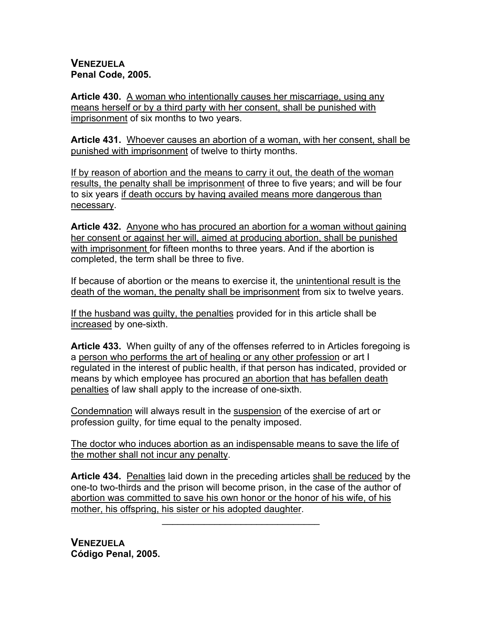## **VENEZUELA Penal Code, 2005.**

**Article 430.** A woman who intentionally causes her miscarriage, using any means herself or by a third party with her consent, shall be punished with imprisonment of six months to two years.

**Article 431.** Whoever causes an abortion of a woman, with her consent, shall be punished with imprisonment of twelve to thirty months.

If by reason of abortion and the means to carry it out, the death of the woman results, the penalty shall be imprisonment of three to five years; and will be four to six years if death occurs by having availed means more dangerous than necessary.

**Article 432.** Anyone who has procured an abortion for a woman without gaining her consent or against her will, aimed at producing abortion, shall be punished with imprisonment for fifteen months to three years. And if the abortion is completed, the term shall be three to five.

If because of abortion or the means to exercise it, the unintentional result is the death of the woman, the penalty shall be imprisonment from six to twelve years.

If the husband was guilty, the penalties provided for in this article shall be increased by one-sixth.

**Article 433.** When guilty of any of the offenses referred to in Articles foregoing is a person who performs the art of healing or any other profession or art I regulated in the interest of public health, if that person has indicated, provided or means by which employee has procured an abortion that has befallen death penalties of law shall apply to the increase of one-sixth.

Condemnation will always result in the suspension of the exercise of art or profession guilty, for time equal to the penalty imposed.

The doctor who induces abortion as an indispensable means to save the life of the mother shall not incur any penalty.

**Article 434.** Penalties laid down in the preceding articles shall be reduced by the one-to two-thirds and the prison will become prison, in the case of the author of abortion was committed to save his own honor or the honor of his wife, of his mother, his offspring, his sister or his adopted daughter.

 $\mathcal{L}=\{1,2,3,4,5\}$ 

**VENEZUELA Código Penal, 2005.**